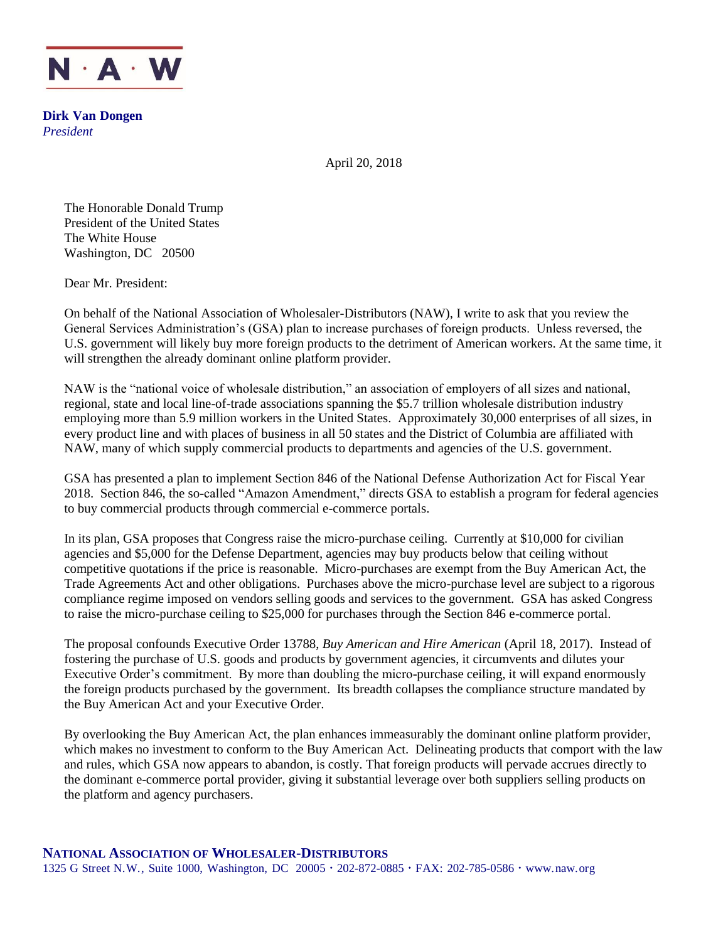

**Dirk Van Dongen** *President*

April 20, 2018

The Honorable Donald Trump President of the United States The White House Washington, DC 20500

Dear Mr. President:

On behalf of the National Association of Wholesaler-Distributors (NAW), I write to ask that you review the General Services Administration's (GSA) plan to increase purchases of foreign products. Unless reversed, the U.S. government will likely buy more foreign products to the detriment of American workers. At the same time, it will strengthen the already dominant online platform provider.

NAW is the "national voice of wholesale distribution," an association of employers of all sizes and national, regional, state and local line-of-trade associations spanning the \$5.7 trillion wholesale distribution industry employing more than 5.9 million workers in the United States. Approximately 30,000 enterprises of all sizes, in every product line and with places of business in all 50 states and the District of Columbia are affiliated with NAW, many of which supply commercial products to departments and agencies of the U.S. government.

GSA has presented a plan to implement Section 846 of the National Defense Authorization Act for Fiscal Year 2018. Section 846, the so-called "Amazon Amendment," directs GSA to establish a program for federal agencies to buy commercial products through commercial e-commerce portals.

In its plan, GSA proposes that Congress raise the micro-purchase ceiling. Currently at \$10,000 for civilian agencies and \$5,000 for the Defense Department, agencies may buy products below that ceiling without competitive quotations if the price is reasonable. Micro-purchases are exempt from the Buy American Act, the Trade Agreements Act and other obligations. Purchases above the micro-purchase level are subject to a rigorous compliance regime imposed on vendors selling goods and services to the government. GSA has asked Congress to raise the micro-purchase ceiling to \$25,000 for purchases through the Section 846 e-commerce portal.

The proposal confounds Executive Order 13788, *Buy American and Hire American* (April 18, 2017). Instead of fostering the purchase of U.S. goods and products by government agencies, it circumvents and dilutes your Executive Order's commitment. By more than doubling the micro-purchase ceiling, it will expand enormously the foreign products purchased by the government. Its breadth collapses the compliance structure mandated by the Buy American Act and your Executive Order.

By overlooking the Buy American Act, the plan enhances immeasurably the dominant online platform provider, which makes no investment to conform to the Buy American Act. Delineating products that comport with the law and rules, which GSA now appears to abandon, is costly. That foreign products will pervade accrues directly to the dominant e-commerce portal provider, giving it substantial leverage over both suppliers selling products on the platform and agency purchasers.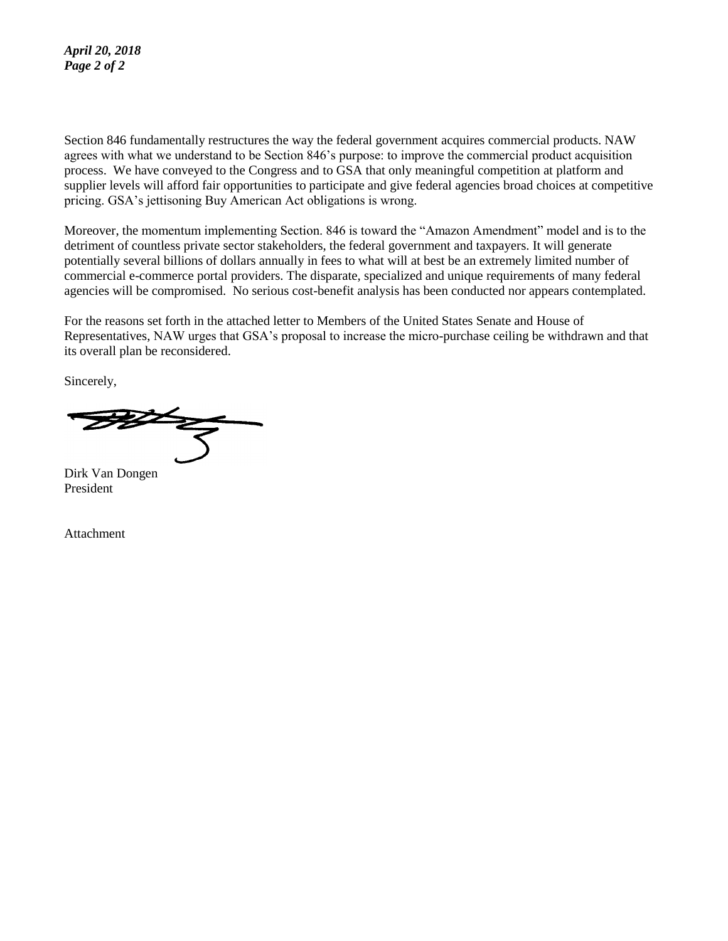## *April 20, 2018 Page 2 of 2*

Section 846 fundamentally restructures the way the federal government acquires commercial products. NAW agrees with what we understand to be Section 846's purpose: to improve the commercial product acquisition process. We have conveyed to the Congress and to GSA that only meaningful competition at platform and supplier levels will afford fair opportunities to participate and give federal agencies broad choices at competitive pricing. GSA's jettisoning Buy American Act obligations is wrong.

Moreover, the momentum implementing Section. 846 is toward the "Amazon Amendment" model and is to the detriment of countless private sector stakeholders, the federal government and taxpayers. It will generate potentially several billions of dollars annually in fees to what will at best be an extremely limited number of commercial e-commerce portal providers. The disparate, specialized and unique requirements of many federal agencies will be compromised. No serious cost-benefit analysis has been conducted nor appears contemplated.

For the reasons set forth in the attached letter to Members of the United States Senate and House of Representatives, NAW urges that GSA's proposal to increase the micro-purchase ceiling be withdrawn and that its overall plan be reconsidered.

Sincerely,

Dirk Van Dongen President

Attachment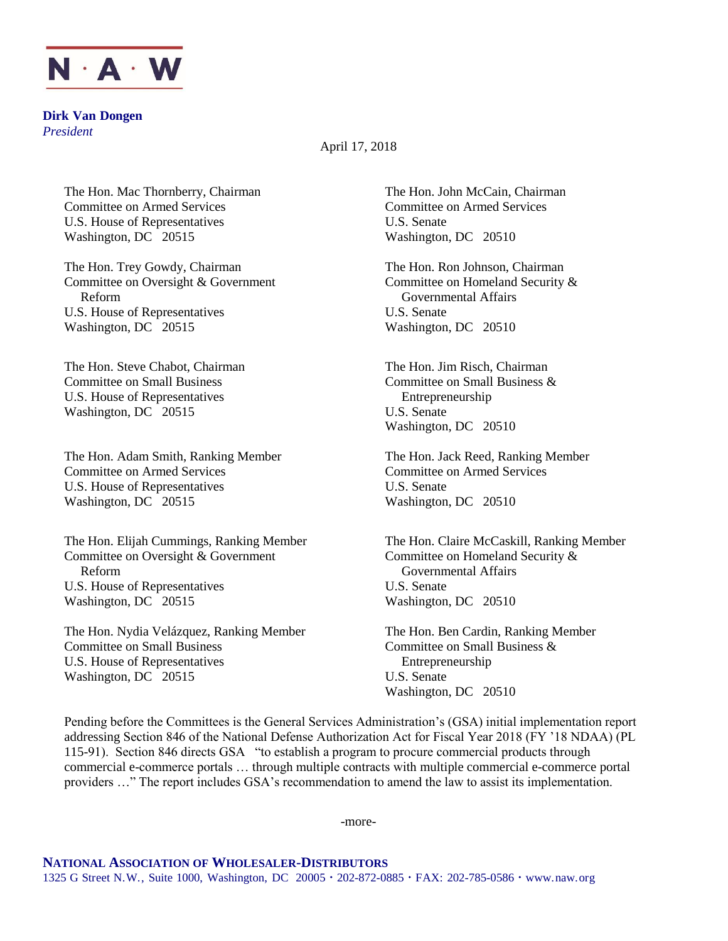

**Dirk Van Dongen** *President*

April 17, 2018

The Hon. Mac Thornberry, Chairman The Hon. John McCain, Chairman Committee on Armed Services Committee on Armed Services U.S. House of Representatives U.S. Senate Washington, DC 20515 Washington, DC 20510

The Hon. Trey Gowdy, Chairman The Hon. Ron Johnson, Chairman The Hon. Ron Johnson, Chairman Committee on Oversight & Government Committee on Homeland Security & Reform Governmental Affairs U.S. House of Representatives U.S. Senate Washington, DC 20515 Washington, DC 20510

The Hon. Steve Chabot, Chairman The Hon. Jim Risch, Chairman Committee on Small Business Committee on Small Business & U.S. House of Representatives Entrepreneurship Washington, DC 20515 U.S. Senate

The Hon. Adam Smith, Ranking Member The Hon. Jack Reed, Ranking Member Committee on Armed Services Committee on Armed Services U.S. House of Representatives U.S. Senate Washington, DC 20515 Washington, DC 20510

Committee on Oversight & Government Committee on Homeland Security & Reform Governmental Affairs U.S. House of Representatives U.S. Senate Washington, DC 20515 Washington, DC 20510

The Hon. Nydia Velázquez, Ranking Member The Hon. Ben Cardin, Ranking Member Committee on Small Business Committee on Small Business & U.S. House of Representatives Entrepreneurship Washington, DC 20515 U.S. Senate

Washington, DC 20510

The Hon. Elijah Cummings, Ranking Member The Hon. Claire McCaskill, Ranking Member

Washington, DC 20510

Pending before the Committees is the General Services Administration's (GSA) initial implementation report addressing Section 846 of the National Defense Authorization Act for Fiscal Year 2018 (FY '18 NDAA) (PL 115-91). Section 846 directs GSA "to establish a program to procure commercial products through commercial e-commerce portals … through multiple contracts with multiple commercial e-commerce portal providers …" The report includes GSA's recommendation to amend the law to assist its implementation.

-more-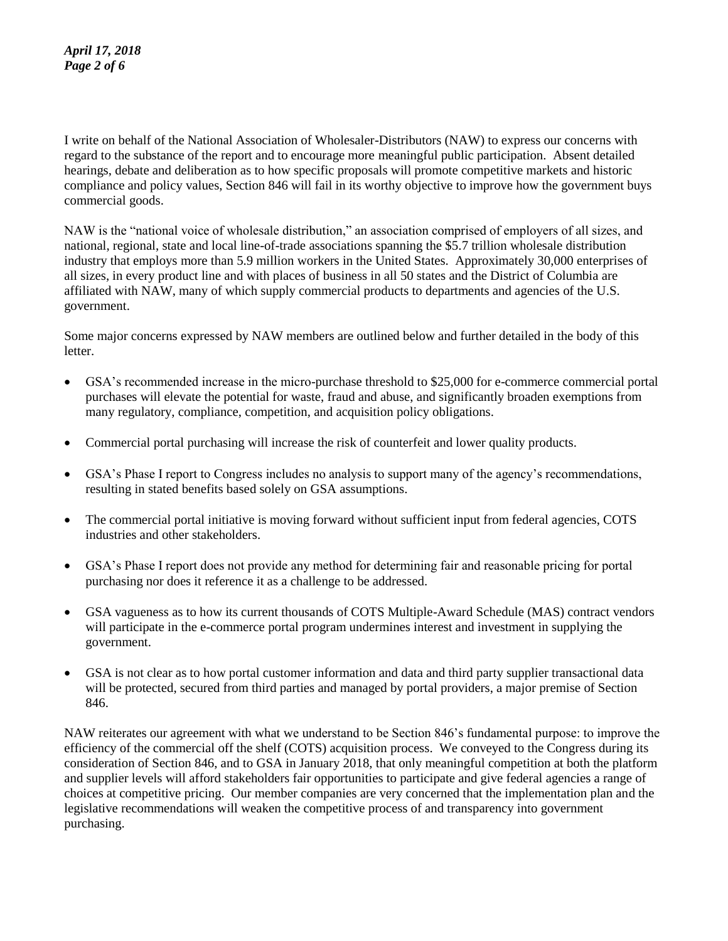I write on behalf of the National Association of Wholesaler-Distributors (NAW) to express our concerns with regard to the substance of the report and to encourage more meaningful public participation. Absent detailed hearings, debate and deliberation as to how specific proposals will promote competitive markets and historic compliance and policy values, Section 846 will fail in its worthy objective to improve how the government buys commercial goods.

NAW is the "national voice of wholesale distribution," an association comprised of employers of all sizes, and national, regional, state and local line-of-trade associations spanning the \$5.7 trillion wholesale distribution industry that employs more than 5.9 million workers in the United States. Approximately 30,000 enterprises of all sizes, in every product line and with places of business in all 50 states and the District of Columbia are affiliated with NAW, many of which supply commercial products to departments and agencies of the U.S. government.

Some major concerns expressed by NAW members are outlined below and further detailed in the body of this letter.

- GSA's recommended increase in the micro-purchase threshold to \$25,000 for e-commerce commercial portal purchases will elevate the potential for waste, fraud and abuse, and significantly broaden exemptions from many regulatory, compliance, competition, and acquisition policy obligations.
- Commercial portal purchasing will increase the risk of counterfeit and lower quality products.
- GSA's Phase I report to Congress includes no analysis to support many of the agency's recommendations, resulting in stated benefits based solely on GSA assumptions.
- The commercial portal initiative is moving forward without sufficient input from federal agencies, COTS industries and other stakeholders.
- GSA's Phase I report does not provide any method for determining fair and reasonable pricing for portal purchasing nor does it reference it as a challenge to be addressed.
- GSA vagueness as to how its current thousands of COTS Multiple-Award Schedule (MAS) contract vendors will participate in the e-commerce portal program undermines interest and investment in supplying the government.
- GSA is not clear as to how portal customer information and data and third party supplier transactional data will be protected, secured from third parties and managed by portal providers, a major premise of Section 846.

NAW reiterates our agreement with what we understand to be Section 846's fundamental purpose: to improve the efficiency of the commercial off the shelf (COTS) acquisition process. We conveyed to the Congress during its consideration of Section 846, and to GSA in January 2018, that only meaningful competition at both the platform and supplier levels will afford stakeholders fair opportunities to participate and give federal agencies a range of choices at competitive pricing. Our member companies are very concerned that the implementation plan and the legislative recommendations will weaken the competitive process of and transparency into government purchasing.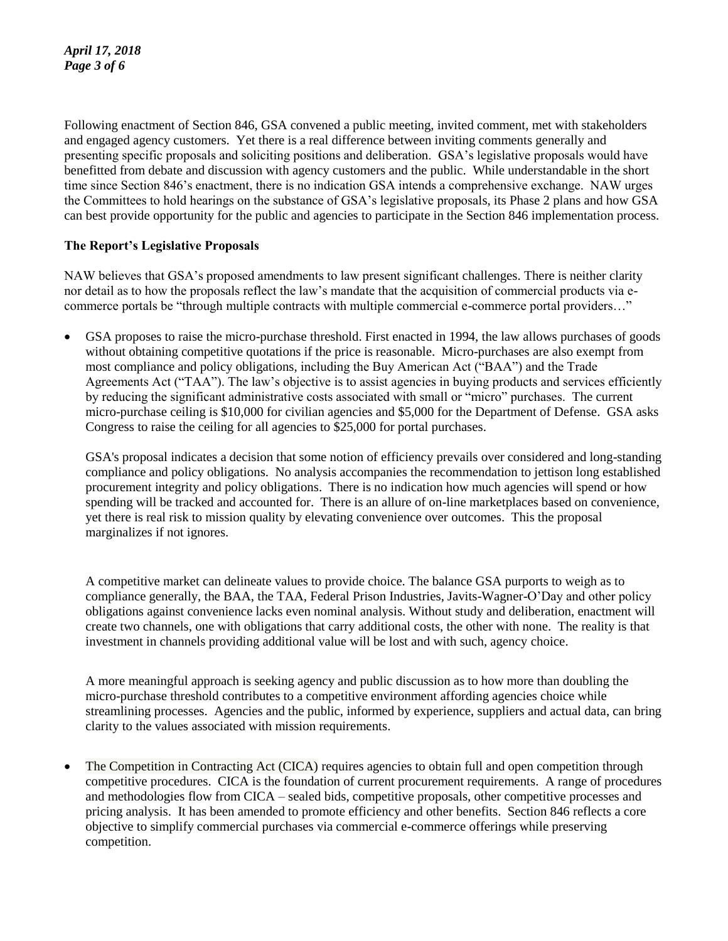Following enactment of Section 846, GSA convened a public meeting, invited comment, met with stakeholders and engaged agency customers. Yet there is a real difference between inviting comments generally and presenting specific proposals and soliciting positions and deliberation. GSA's legislative proposals would have benefitted from debate and discussion with agency customers and the public. While understandable in the short time since Section 846's enactment, there is no indication GSA intends a comprehensive exchange. NAW urges the Committees to hold hearings on the substance of GSA's legislative proposals, its Phase 2 plans and how GSA can best provide opportunity for the public and agencies to participate in the Section 846 implementation process.

## **The Report's Legislative Proposals**

NAW believes that GSA's proposed amendments to law present significant challenges. There is neither clarity nor detail as to how the proposals reflect the law's mandate that the acquisition of commercial products via ecommerce portals be "through multiple contracts with multiple commercial e-commerce portal providers…"

 GSA proposes to raise the micro-purchase threshold. First enacted in 1994, the law allows purchases of goods without obtaining competitive quotations if the price is reasonable. Micro-purchases are also exempt from most compliance and policy obligations, including the Buy American Act ("BAA") and the Trade Agreements Act ("TAA"). The law's objective is to assist agencies in buying products and services efficiently by reducing the significant administrative costs associated with small or "micro" purchases. The current micro-purchase ceiling is \$10,000 for civilian agencies and \$5,000 for the Department of Defense. GSA asks Congress to raise the ceiling for all agencies to \$25,000 for portal purchases.

GSA's proposal indicates a decision that some notion of efficiency prevails over considered and long-standing compliance and policy obligations. No analysis accompanies the recommendation to jettison long established procurement integrity and policy obligations. There is no indication how much agencies will spend or how spending will be tracked and accounted for. There is an allure of on-line marketplaces based on convenience, yet there is real risk to mission quality by elevating convenience over outcomes. This the proposal marginalizes if not ignores.

A competitive market can delineate values to provide choice. The balance GSA purports to weigh as to compliance generally, the BAA, the TAA, Federal Prison Industries, Javits-Wagner-O'Day and other policy obligations against convenience lacks even nominal analysis. Without study and deliberation, enactment will create two channels, one with obligations that carry additional costs, the other with none. The reality is that investment in channels providing additional value will be lost and with such, agency choice.

A more meaningful approach is seeking agency and public discussion as to how more than doubling the micro-purchase threshold contributes to a competitive environment affording agencies choice while streamlining processes. Agencies and the public, informed by experience, suppliers and actual data, can bring clarity to the values associated with mission requirements.

 The Competition in Contracting Act (CICA) requires agencies to obtain full and open competition through competitive procedures. CICA is the foundation of current procurement requirements. A range of procedures and methodologies flow from CICA – sealed bids, competitive proposals, other competitive processes and pricing analysis. It has been amended to promote efficiency and other benefits. Section 846 reflects a core objective to simplify commercial purchases via commercial e-commerce offerings while preserving competition.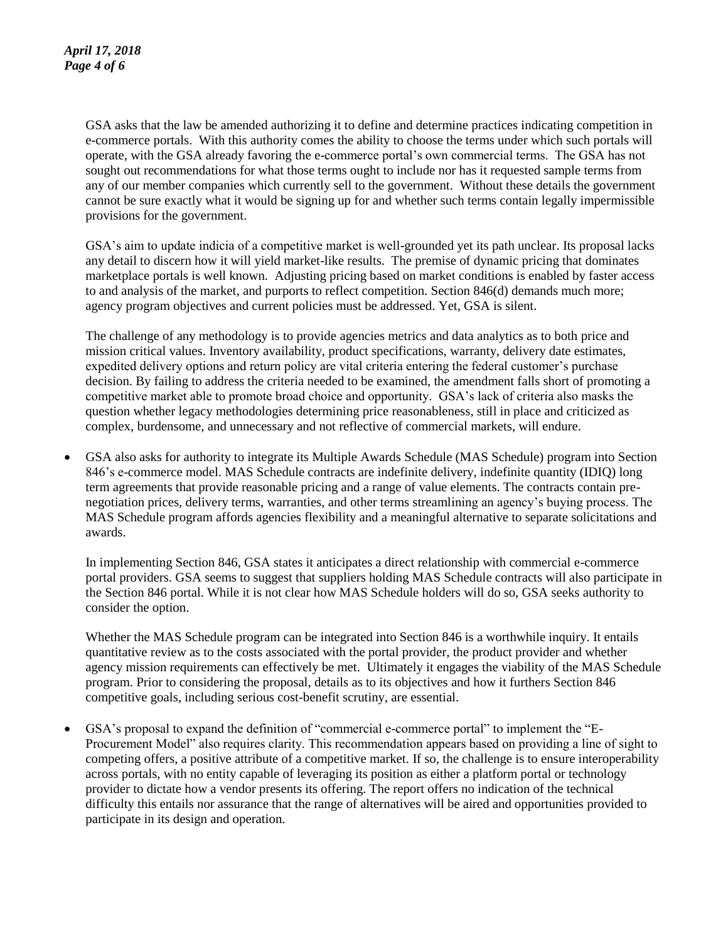GSA asks that the law be amended authorizing it to define and determine practices indicating competition in e-commerce portals. With this authority comes the ability to choose the terms under which such portals will operate, with the GSA already favoring the e-commerce portal's own commercial terms. The GSA has not sought out recommendations for what those terms ought to include nor has it requested sample terms from any of our member companies which currently sell to the government. Without these details the government cannot be sure exactly what it would be signing up for and whether such terms contain legally impermissible provisions for the government.

GSA's aim to update indicia of a competitive market is well-grounded yet its path unclear. Its proposal lacks any detail to discern how it will yield market-like results. The premise of dynamic pricing that dominates marketplace portals is well known. Adjusting pricing based on market conditions is enabled by faster access to and analysis of the market, and purports to reflect competition. Section 846(d) demands much more; agency program objectives and current policies must be addressed. Yet, GSA is silent.

The challenge of any methodology is to provide agencies metrics and data analytics as to both price and mission critical values. Inventory availability, product specifications, warranty, delivery date estimates, expedited delivery options and return policy are vital criteria entering the federal customer's purchase decision. By failing to address the criteria needed to be examined, the amendment falls short of promoting a competitive market able to promote broad choice and opportunity. GSA's lack of criteria also masks the question whether legacy methodologies determining price reasonableness, still in place and criticized as complex, burdensome, and unnecessary and not reflective of commercial markets, will endure.

 GSA also asks for authority to integrate its Multiple Awards Schedule (MAS Schedule) program into Section 846's e-commerce model. MAS Schedule contracts are indefinite delivery, indefinite quantity (IDIQ) long term agreements that provide reasonable pricing and a range of value elements. The contracts contain prenegotiation prices, delivery terms, warranties, and other terms streamlining an agency's buying process. The MAS Schedule program affords agencies flexibility and a meaningful alternative to separate solicitations and awards.

In implementing Section 846, GSA states it anticipates a direct relationship with commercial e-commerce portal providers. GSA seems to suggest that suppliers holding MAS Schedule contracts will also participate in the Section 846 portal. While it is not clear how MAS Schedule holders will do so, GSA seeks authority to consider the option.

Whether the MAS Schedule program can be integrated into Section 846 is a worthwhile inquiry. It entails quantitative review as to the costs associated with the portal provider, the product provider and whether agency mission requirements can effectively be met. Ultimately it engages the viability of the MAS Schedule program. Prior to considering the proposal, details as to its objectives and how it furthers Section 846 competitive goals, including serious cost-benefit scrutiny, are essential.

 GSA's proposal to expand the definition of "commercial e-commerce portal" to implement the "E-Procurement Model" also requires clarity. This recommendation appears based on providing a line of sight to competing offers, a positive attribute of a competitive market. If so, the challenge is to ensure interoperability across portals, with no entity capable of leveraging its position as either a platform portal or technology provider to dictate how a vendor presents its offering. The report offers no indication of the technical difficulty this entails nor assurance that the range of alternatives will be aired and opportunities provided to participate in its design and operation.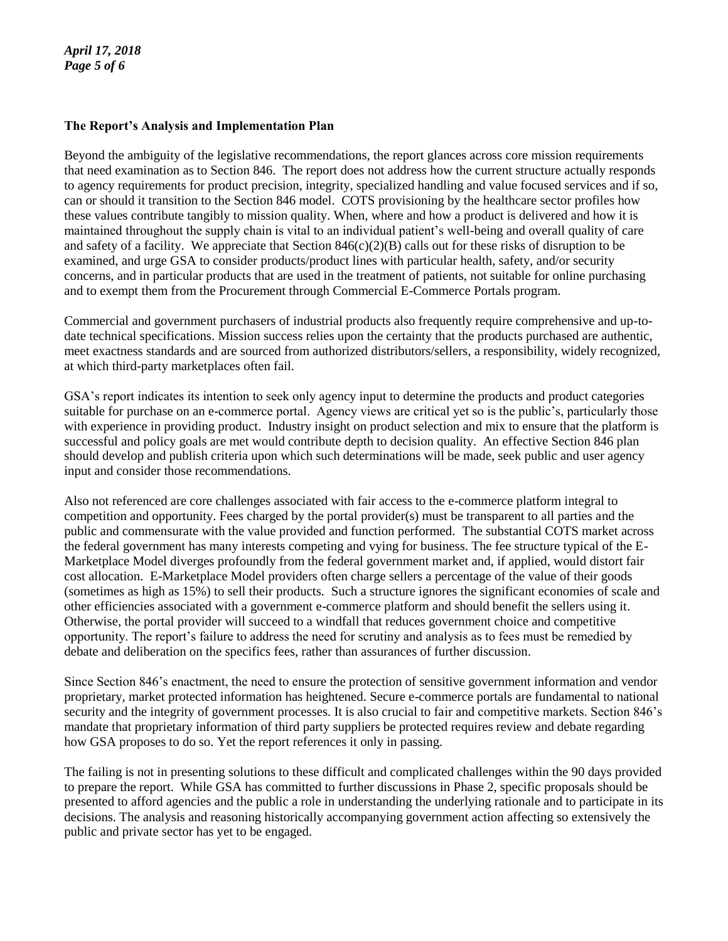## **The Report's Analysis and Implementation Plan**

Beyond the ambiguity of the legislative recommendations, the report glances across core mission requirements that need examination as to Section 846. The report does not address how the current structure actually responds to agency requirements for product precision, integrity, specialized handling and value focused services and if so, can or should it transition to the Section 846 model. COTS provisioning by the healthcare sector profiles how these values contribute tangibly to mission quality. When, where and how a product is delivered and how it is maintained throughout the supply chain is vital to an individual patient's well-being and overall quality of care and safety of a facility. We appreciate that Section  $846(c)(2)(B)$  calls out for these risks of disruption to be examined, and urge GSA to consider products/product lines with particular health, safety, and/or security concerns, and in particular products that are used in the treatment of patients, not suitable for online purchasing and to exempt them from the Procurement through Commercial E-Commerce Portals program.

Commercial and government purchasers of industrial products also frequently require comprehensive and up-todate technical specifications. Mission success relies upon the certainty that the products purchased are authentic, meet exactness standards and are sourced from authorized distributors/sellers, a responsibility, widely recognized, at which third-party marketplaces often fail.

GSA's report indicates its intention to seek only agency input to determine the products and product categories suitable for purchase on an e-commerce portal. Agency views are critical yet so is the public's, particularly those with experience in providing product. Industry insight on product selection and mix to ensure that the platform is successful and policy goals are met would contribute depth to decision quality. An effective Section 846 plan should develop and publish criteria upon which such determinations will be made, seek public and user agency input and consider those recommendations.

Also not referenced are core challenges associated with fair access to the e-commerce platform integral to competition and opportunity. Fees charged by the portal provider(s) must be transparent to all parties and the public and commensurate with the value provided and function performed. The substantial COTS market across the federal government has many interests competing and vying for business. The fee structure typical of the E-Marketplace Model diverges profoundly from the federal government market and, if applied, would distort fair cost allocation. E-Marketplace Model providers often charge sellers a percentage of the value of their goods (sometimes as high as 15%) to sell their products. Such a structure ignores the significant economies of scale and other efficiencies associated with a government e-commerce platform and should benefit the sellers using it. Otherwise, the portal provider will succeed to a windfall that reduces government choice and competitive opportunity. The report's failure to address the need for scrutiny and analysis as to fees must be remedied by debate and deliberation on the specifics fees, rather than assurances of further discussion.

Since Section 846's enactment, the need to ensure the protection of sensitive government information and vendor proprietary, market protected information has heightened. Secure e-commerce portals are fundamental to national security and the integrity of government processes. It is also crucial to fair and competitive markets. Section 846's mandate that proprietary information of third party suppliers be protected requires review and debate regarding how GSA proposes to do so. Yet the report references it only in passing.

The failing is not in presenting solutions to these difficult and complicated challenges within the 90 days provided to prepare the report. While GSA has committed to further discussions in Phase 2, specific proposals should be presented to afford agencies and the public a role in understanding the underlying rationale and to participate in its decisions. The analysis and reasoning historically accompanying government action affecting so extensively the public and private sector has yet to be engaged.